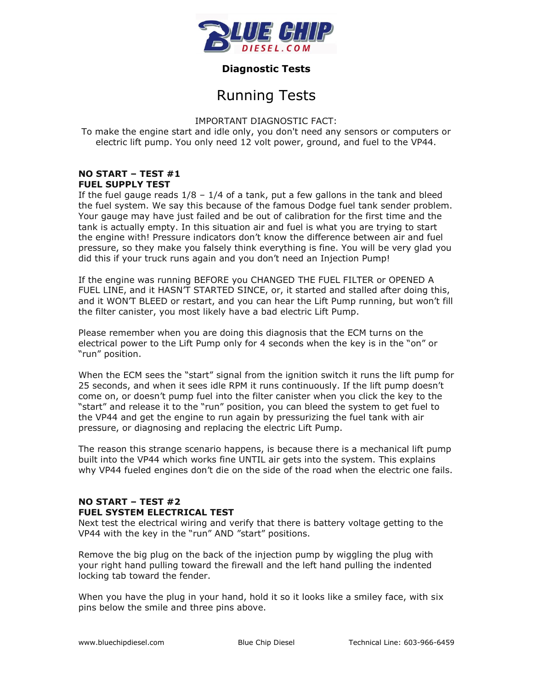

# **Diagnostic Tests**

# Running Tests

IMPORTANT DIAGNOSTIC FACT:

To make the engine start and idle only, you don't need any sensors or computers or electric lift pump. You only need 12 volt power, ground, and fuel to the VP44.

# **NO START – TEST #1 FUEL SUPPLY TEST**

If the fuel gauge reads  $1/8 - 1/4$  of a tank, put a few gallons in the tank and bleed the fuel system. We say this because of the famous Dodge fuel tank sender problem. Your gauge may have just failed and be out of calibration for the first time and the tank is actually empty. In this situation air and fuel is what you are trying to start the engine with! Pressure indicators don't know the difference between air and fuel pressure, so they make you falsely think everything is fine. You will be very glad you did this if your truck runs again and you don't need an Injection Pump!

If the engine was running BEFORE you CHANGED THE FUEL FILTER or OPENED A FUEL LINE, and it HASN'T STARTED SINCE, or, it started and stalled after doing this, and it WON'T BLEED or restart, and you can hear the Lift Pump running, but won't fill the filter canister, you most likely have a bad electric Lift Pump.

Please remember when you are doing this diagnosis that the ECM turns on the electrical power to the Lift Pump only for 4 seconds when the key is in the "on" or "run" position.

When the ECM sees the "start" signal from the ignition switch it runs the lift pump for 25 seconds, and when it sees idle RPM it runs continuously. If the lift pump doesn't come on, or doesn't pump fuel into the filter canister when you click the key to the "start" and release it to the "run" position, you can bleed the system to get fuel to the VP44 and get the engine to run again by pressurizing the fuel tank with air pressure, or diagnosing and replacing the electric Lift Pump.

The reason this strange scenario happens, is because there is a mechanical lift pump built into the VP44 which works fine UNTIL air gets into the system. This explains why VP44 fueled engines don't die on the side of the road when the electric one fails.

# **NO START – TEST #2 FUEL SYSTEM ELECTRICAL TEST**

Next test the electrical wiring and verify that there is battery voltage getting to the VP44 with the key in the "run" AND "start" positions.

Remove the big plug on the back of the injection pump by wiggling the plug with your right hand pulling toward the firewall and the left hand pulling the indented locking tab toward the fender.

When you have the plug in your hand, hold it so it looks like a smiley face, with six pins below the smile and three pins above.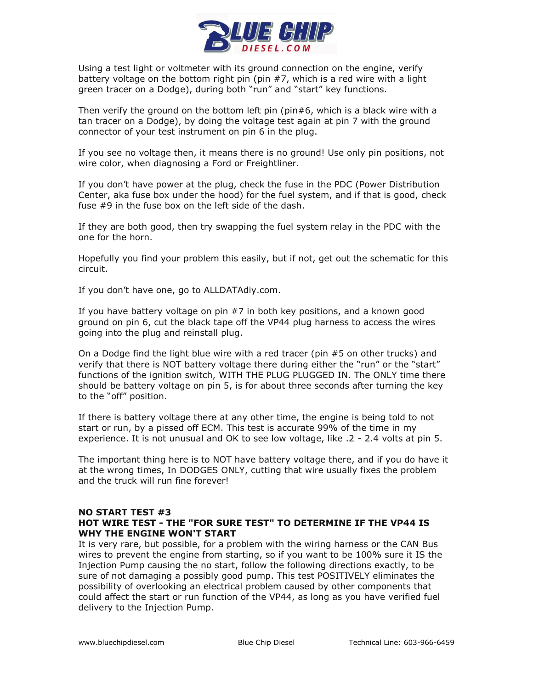

Using a test light or voltmeter with its ground connection on the engine, verify battery voltage on the bottom right pin (pin #7, which is a red wire with a light green tracer on a Dodge), during both "run" and "start" key functions.

Then verify the ground on the bottom left pin (pin#6, which is a black wire with a tan tracer on a Dodge), by doing the voltage test again at pin 7 with the ground connector of your test instrument on pin 6 in the plug.

If you see no voltage then, it means there is no ground! Use only pin positions, not wire color, when diagnosing a Ford or Freightliner.

If you don't have power at the plug, check the fuse in the PDC (Power Distribution Center, aka fuse box under the hood) for the fuel system, and if that is good, check fuse #9 in the fuse box on the left side of the dash.

If they are both good, then try swapping the fuel system relay in the PDC with the one for the horn.

Hopefully you find your problem this easily, but if not, get out the schematic for this circuit.

If you don't have one, go to ALLDATAdiy.com.

If you have battery voltage on pin #7 in both key positions, and a known good ground on pin 6, cut the black tape off the VP44 plug harness to access the wires going into the plug and reinstall plug.

On a Dodge find the light blue wire with a red tracer (pin #5 on other trucks) and verify that there is NOT battery voltage there during either the "run" or the "start" functions of the ignition switch, WITH THE PLUG PLUGGED IN. The ONLY time there should be battery voltage on pin 5, is for about three seconds after turning the key to the "off" position.

If there is battery voltage there at any other time, the engine is being told to not start or run, by a pissed off ECM. This test is accurate 99% of the time in my experience. It is not unusual and OK to see low voltage, like .2 - 2.4 volts at pin 5.

The important thing here is to NOT have battery voltage there, and if you do have it at the wrong times, In DODGES ONLY, cutting that wire usually fixes the problem and the truck will run fine forever!

#### **NO START TEST #3 HOT WIRE TEST - THE "FOR SURE TEST" TO DETERMINE IF THE VP44 IS WHY THE ENGINE WON'T START**

It is very rare, but possible, for a problem with the wiring harness or the CAN Bus wires to prevent the engine from starting, so if you want to be 100% sure it IS the Injection Pump causing the no start, follow the following directions exactly, to be sure of not damaging a possibly good pump. This test POSITIVELY eliminates the possibility of overlooking an electrical problem caused by other components that could affect the start or run function of the VP44, as long as you have verified fuel delivery to the Injection Pump.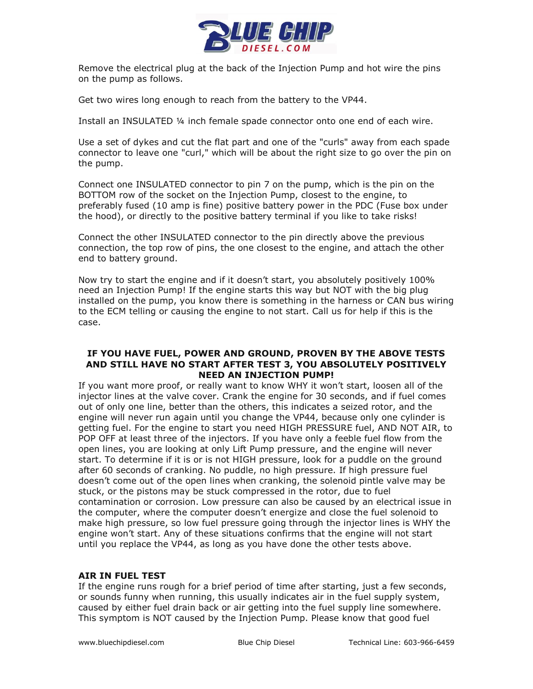

Remove the electrical plug at the back of the Injection Pump and hot wire the pins on the pump as follows.

Get two wires long enough to reach from the battery to the VP44.

Install an INSULATED ¼ inch female spade connector onto one end of each wire.

Use a set of dykes and cut the flat part and one of the "curls" away from each spade connector to leave one "curl," which will be about the right size to go over the pin on the pump.

Connect one INSULATED connector to pin 7 on the pump, which is the pin on the BOTTOM row of the socket on the Injection Pump, closest to the engine, to preferably fused (10 amp is fine) positive battery power in the PDC (Fuse box under the hood), or directly to the positive battery terminal if you like to take risks!

Connect the other INSULATED connector to the pin directly above the previous connection, the top row of pins, the one closest to the engine, and attach the other end to battery ground.

Now try to start the engine and if it doesn't start, you absolutely positively 100% need an Injection Pump! If the engine starts this way but NOT with the big plug installed on the pump, you know there is something in the harness or CAN bus wiring to the ECM telling or causing the engine to not start. Call us for help if this is the case.

### **IF YOU HAVE FUEL, POWER AND GROUND, PROVEN BY THE ABOVE TESTS AND STILL HAVE NO START AFTER TEST 3, YOU ABSOLUTELY POSITIVELY NEED AN INJECTION PUMP!**

If you want more proof, or really want to know WHY it won't start, loosen all of the injector lines at the valve cover. Crank the engine for 30 seconds, and if fuel comes out of only one line, better than the others, this indicates a seized rotor, and the engine will never run again until you change the VP44, because only one cylinder is getting fuel. For the engine to start you need HIGH PRESSURE fuel, AND NOT AIR, to POP OFF at least three of the injectors. If you have only a feeble fuel flow from the open lines, you are looking at only Lift Pump pressure, and the engine will never start. To determine if it is or is not HIGH pressure, look for a puddle on the ground after 60 seconds of cranking. No puddle, no high pressure. If high pressure fuel doesn't come out of the open lines when cranking, the solenoid pintle valve may be stuck, or the pistons may be stuck compressed in the rotor, due to fuel contamination or corrosion. Low pressure can also be caused by an electrical issue in the computer, where the computer doesn't energize and close the fuel solenoid to make high pressure, so low fuel pressure going through the injector lines is WHY the engine won't start. Any of these situations confirms that the engine will not start until you replace the VP44, as long as you have done the other tests above.

# **AIR IN FUEL TEST**

If the engine runs rough for a brief period of time after starting, just a few seconds, or sounds funny when running, this usually indicates air in the fuel supply system, caused by either fuel drain back or air getting into the fuel supply line somewhere. This symptom is NOT caused by the Injection Pump. Please know that good fuel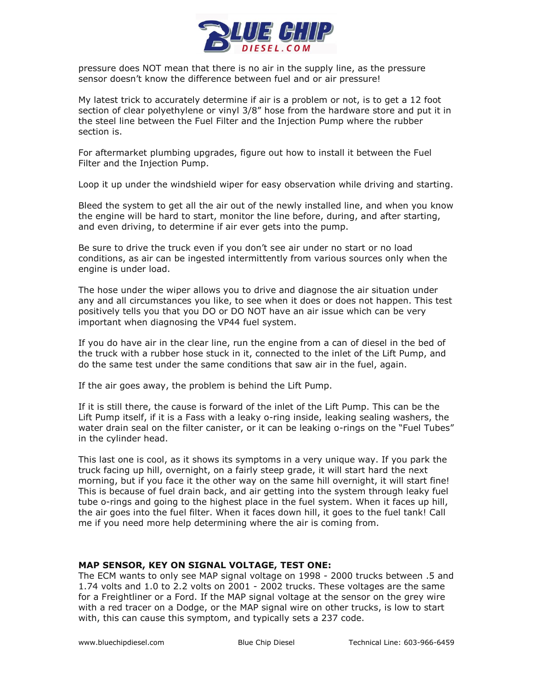

pressure does NOT mean that there is no air in the supply line, as the pressure sensor doesn't know the difference between fuel and or air pressure!

My latest trick to accurately determine if air is a problem or not, is to get a 12 foot section of clear polyethylene or vinyl 3/8" hose from the hardware store and put it in the steel line between the Fuel Filter and the Injection Pump where the rubber section is.

For aftermarket plumbing upgrades, figure out how to install it between the Fuel Filter and the Injection Pump.

Loop it up under the windshield wiper for easy observation while driving and starting.

Bleed the system to get all the air out of the newly installed line, and when you know the engine will be hard to start, monitor the line before, during, and after starting, and even driving, to determine if air ever gets into the pump.

Be sure to drive the truck even if you don't see air under no start or no load conditions, as air can be ingested intermittently from various sources only when the engine is under load.

The hose under the wiper allows you to drive and diagnose the air situation under any and all circumstances you like, to see when it does or does not happen. This test positively tells you that you DO or DO NOT have an air issue which can be very important when diagnosing the VP44 fuel system.

If you do have air in the clear line, run the engine from a can of diesel in the bed of the truck with a rubber hose stuck in it, connected to the inlet of the Lift Pump, and do the same test under the same conditions that saw air in the fuel, again.

If the air goes away, the problem is behind the Lift Pump.

If it is still there, the cause is forward of the inlet of the Lift Pump. This can be the Lift Pump itself, if it is a Fass with a leaky o-ring inside, leaking sealing washers, the water drain seal on the filter canister, or it can be leaking o-rings on the "Fuel Tubes" in the cylinder head.

This last one is cool, as it shows its symptoms in a very unique way. If you park the truck facing up hill, overnight, on a fairly steep grade, it will start hard the next morning, but if you face it the other way on the same hill overnight, it will start fine! This is because of fuel drain back, and air getting into the system through leaky fuel tube o-rings and going to the highest place in the fuel system. When it faces up hill, the air goes into the fuel filter. When it faces down hill, it goes to the fuel tank! Call me if you need more help determining where the air is coming from.

# **MAP SENSOR, KEY ON SIGNAL VOLTAGE, TEST ONE:**

The ECM wants to only see MAP signal voltage on 1998 - 2000 trucks between .5 and 1.74 volts and 1.0 to 2.2 volts on 2001 - 2002 trucks. These voltages are the same for a Freightliner or a Ford. If the MAP signal voltage at the sensor on the grey wire with a red tracer on a Dodge, or the MAP signal wire on other trucks, is low to start with, this can cause this symptom, and typically sets a 237 code.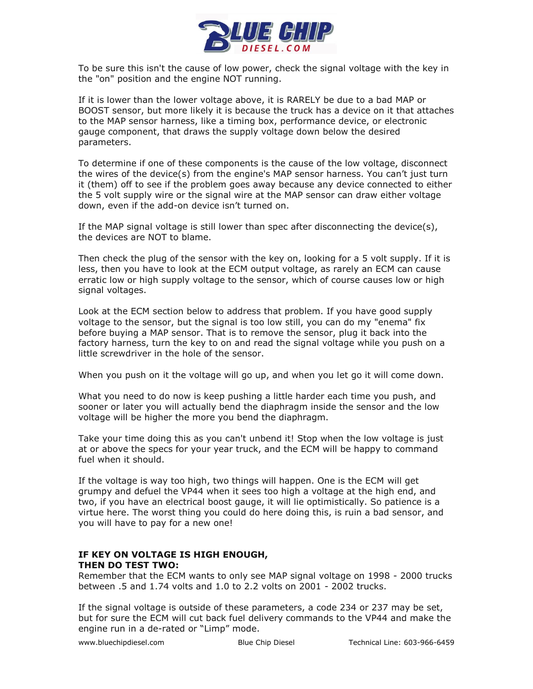

To be sure this isn't the cause of low power, check the signal voltage with the key in the "on" position and the engine NOT running.

If it is lower than the lower voltage above, it is RARELY be due to a bad MAP or BOOST sensor, but more likely it is because the truck has a device on it that attaches to the MAP sensor harness, like a timing box, performance device, or electronic gauge component, that draws the supply voltage down below the desired parameters.

To determine if one of these components is the cause of the low voltage, disconnect the wires of the device(s) from the engine's MAP sensor harness. You can't just turn it (them) off to see if the problem goes away because any device connected to either the 5 volt supply wire or the signal wire at the MAP sensor can draw either voltage down, even if the add-on device isn't turned on.

If the MAP signal voltage is still lower than spec after disconnecting the device(s), the devices are NOT to blame.

Then check the plug of the sensor with the key on, looking for a 5 volt supply. If it is less, then you have to look at the ECM output voltage, as rarely an ECM can cause erratic low or high supply voltage to the sensor, which of course causes low or high signal voltages.

Look at the ECM section below to address that problem. If you have good supply voltage to the sensor, but the signal is too low still, you can do my "enema" fix before buying a MAP sensor. That is to remove the sensor, plug it back into the factory harness, turn the key to on and read the signal voltage while you push on a little screwdriver in the hole of the sensor.

When you push on it the voltage will go up, and when you let go it will come down.

What you need to do now is keep pushing a little harder each time you push, and sooner or later you will actually bend the diaphragm inside the sensor and the low voltage will be higher the more you bend the diaphragm.

Take your time doing this as you can't unbend it! Stop when the low voltage is just at or above the specs for your year truck, and the ECM will be happy to command fuel when it should.

If the voltage is way too high, two things will happen. One is the ECM will get grumpy and defuel the VP44 when it sees too high a voltage at the high end, and two, if you have an electrical boost gauge, it will lie optimistically. So patience is a virtue here. The worst thing you could do here doing this, is ruin a bad sensor, and you will have to pay for a new one!

# **IF KEY ON VOLTAGE IS HIGH ENOUGH, THEN DO TEST TWO:**

Remember that the ECM wants to only see MAP signal voltage on 1998 - 2000 trucks between .5 and 1.74 volts and 1.0 to 2.2 volts on 2001 - 2002 trucks.

If the signal voltage is outside of these parameters, a code 234 or 237 may be set, but for sure the ECM will cut back fuel delivery commands to the VP44 and make the engine run in a de-rated or "Limp" mode.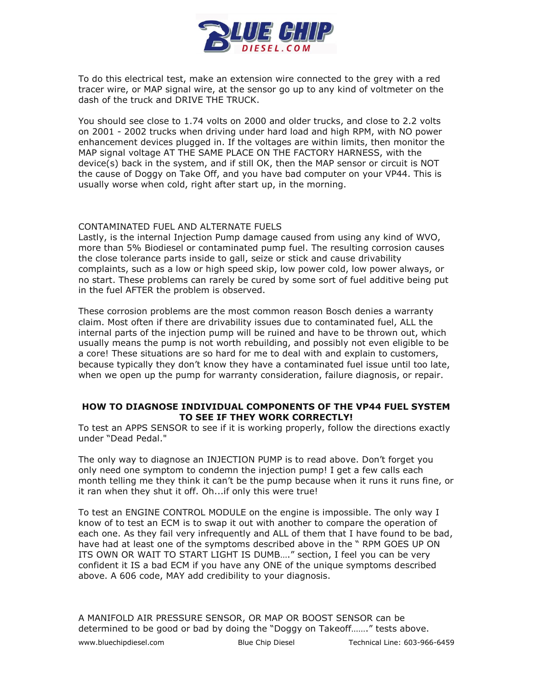

To do this electrical test, make an extension wire connected to the grey with a red tracer wire, or MAP signal wire, at the sensor go up to any kind of voltmeter on the dash of the truck and DRIVE THE TRUCK.

You should see close to 1.74 volts on 2000 and older trucks, and close to 2.2 volts on 2001 - 2002 trucks when driving under hard load and high RPM, with NO power enhancement devices plugged in. If the voltages are within limits, then monitor the MAP signal voltage AT THE SAME PLACE ON THE FACTORY HARNESS, with the device(s) back in the system, and if still OK, then the MAP sensor or circuit is NOT the cause of Doggy on Take Off, and you have bad computer on your VP44. This is usually worse when cold, right after start up, in the morning.

#### CONTAMINATED FUEL AND ALTERNATE FUELS

Lastly, is the internal Injection Pump damage caused from using any kind of WVO, more than 5% Biodiesel or contaminated pump fuel. The resulting corrosion causes the close tolerance parts inside to gall, seize or stick and cause drivability complaints, such as a low or high speed skip, low power cold, low power always, or no start. These problems can rarely be cured by some sort of fuel additive being put in the fuel AFTER the problem is observed.

These corrosion problems are the most common reason Bosch denies a warranty claim. Most often if there are drivability issues due to contaminated fuel, ALL the internal parts of the injection pump will be ruined and have to be thrown out, which usually means the pump is not worth rebuilding, and possibly not even eligible to be a core! These situations are so hard for me to deal with and explain to customers, because typically they don't know they have a contaminated fuel issue until too late, when we open up the pump for warranty consideration, failure diagnosis, or repair.

#### **HOW TO DIAGNOSE INDIVIDUAL COMPONENTS OF THE VP44 FUEL SYSTEM TO SEE IF THEY WORK CORRECTLY!**

To test an APPS SENSOR to see if it is working properly, follow the directions exactly under "Dead Pedal."

The only way to diagnose an INJECTION PUMP is to read above. Don't forget you only need one symptom to condemn the injection pump! I get a few calls each month telling me they think it can't be the pump because when it runs it runs fine, or it ran when they shut it off. Oh...if only this were true!

To test an ENGINE CONTROL MODULE on the engine is impossible. The only way I know of to test an ECM is to swap it out with another to compare the operation of each one. As they fail very infrequently and ALL of them that I have found to be bad, have had at least one of the symptoms described above in the " RPM GOES UP ON ITS OWN OR WAIT TO START LIGHT IS DUMB…." section, I feel you can be very confident it IS a bad ECM if you have any ONE of the unique symptoms described above. A 606 code, MAY add credibility to your diagnosis.

www.bluechipdiesel.com Blue Chip Diesel Technical Line: 603-966-6459 A MANIFOLD AIR PRESSURE SENSOR, OR MAP OR BOOST SENSOR can be determined to be good or bad by doing the "Doggy on Takeoff……." tests above.